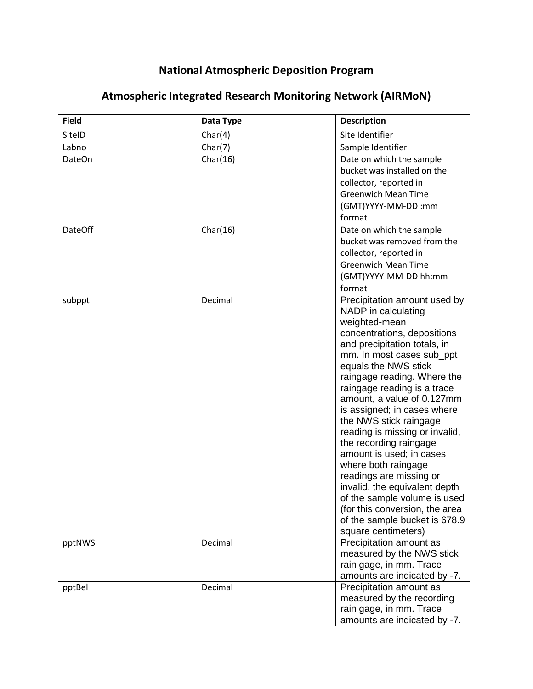## **National Atmospheric Deposition Program**

| <b>Field</b>   | Data Type | <b>Description</b>                                                                                                                                                                                                                                                                                                                                                                                                                                                                                                                                                                                                                                 |
|----------------|-----------|----------------------------------------------------------------------------------------------------------------------------------------------------------------------------------------------------------------------------------------------------------------------------------------------------------------------------------------------------------------------------------------------------------------------------------------------------------------------------------------------------------------------------------------------------------------------------------------------------------------------------------------------------|
| SiteID         | Char(4)   | Site Identifier                                                                                                                                                                                                                                                                                                                                                                                                                                                                                                                                                                                                                                    |
| Labno          | Char(7)   | Sample Identifier                                                                                                                                                                                                                                                                                                                                                                                                                                                                                                                                                                                                                                  |
| <b>DateOn</b>  | Char(16)  | Date on which the sample<br>bucket was installed on the<br>collector, reported in<br><b>Greenwich Mean Time</b><br>(GMT)YYYY-MM-DD:mm<br>format                                                                                                                                                                                                                                                                                                                                                                                                                                                                                                    |
| <b>DateOff</b> | Char(16)  | Date on which the sample<br>bucket was removed from the<br>collector, reported in<br><b>Greenwich Mean Time</b><br>(GMT)YYYY-MM-DD hh:mm<br>format                                                                                                                                                                                                                                                                                                                                                                                                                                                                                                 |
| subppt         | Decimal   | Precipitation amount used by<br>NADP in calculating<br>weighted-mean<br>concentrations, depositions<br>and precipitation totals, in<br>mm. In most cases sub_ppt<br>equals the NWS stick<br>raingage reading. Where the<br>raingage reading is a trace<br>amount, a value of 0.127mm<br>is assigned; in cases where<br>the NWS stick raingage<br>reading is missing or invalid,<br>the recording raingage<br>amount is used; in cases<br>where both raingage<br>readings are missing or<br>invalid, the equivalent depth<br>of the sample volume is used<br>(for this conversion, the area<br>of the sample bucket is 678.9<br>square centimeters) |
| pptNWS         | Decimal   | Precipitation amount as<br>measured by the NWS stick<br>rain gage, in mm. Trace<br>amounts are indicated by -7.                                                                                                                                                                                                                                                                                                                                                                                                                                                                                                                                    |
| pptBel         | Decimal   | Precipitation amount as<br>measured by the recording<br>rain gage, in mm. Trace<br>amounts are indicated by -7.                                                                                                                                                                                                                                                                                                                                                                                                                                                                                                                                    |

## **Atmospheric Integrated Research Monitoring Network (AIRMoN)**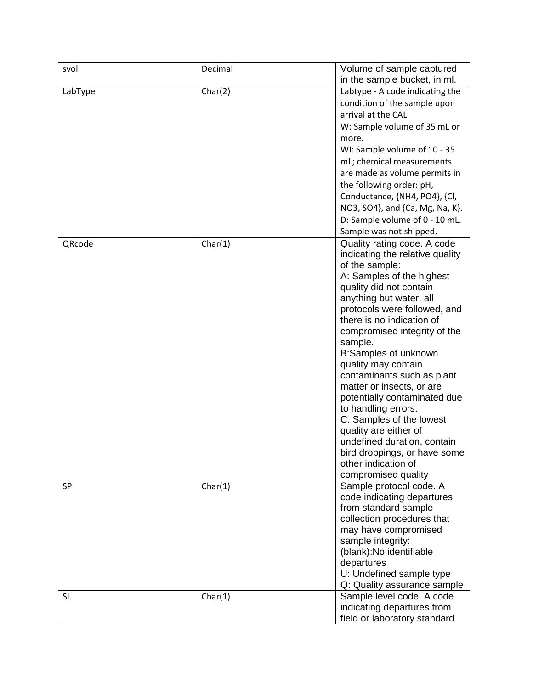| svol      | Decimal | Volume of sample captured       |
|-----------|---------|---------------------------------|
|           |         | in the sample bucket, in ml.    |
| LabType   | Char(2) | Labtype - A code indicating the |
|           |         | condition of the sample upon    |
|           |         | arrival at the CAL              |
|           |         | W: Sample volume of 35 mL or    |
|           |         | more.                           |
|           |         | WI: Sample volume of 10 - 35    |
|           |         | mL; chemical measurements       |
|           |         |                                 |
|           |         | are made as volume permits in   |
|           |         | the following order: pH,        |
|           |         | Conductance, {NH4, PO4}, {Cl,   |
|           |         | NO3, SO4}, and {Ca, Mg, Na, K}. |
|           |         | D: Sample volume of 0 - 10 mL.  |
|           |         | Sample was not shipped.         |
| QRcode    | Char(1) | Quality rating code. A code     |
|           |         | indicating the relative quality |
|           |         | of the sample:                  |
|           |         | A: Samples of the highest       |
|           |         | quality did not contain         |
|           |         | anything but water, all         |
|           |         | protocols were followed, and    |
|           |         | there is no indication of       |
|           |         | compromised integrity of the    |
|           |         | sample.                         |
|           |         | <b>B:Samples of unknown</b>     |
|           |         | quality may contain             |
|           |         | contaminants such as plant      |
|           |         | matter or insects, or are       |
|           |         | potentially contaminated due    |
|           |         | to handling errors.             |
|           |         | C: Samples of the lowest        |
|           |         | quality are either of           |
|           |         | undefined duration, contain     |
|           |         | bird droppings, or have some    |
|           |         | other indication of             |
|           |         | compromised quality             |
| <b>SP</b> | Char(1) | Sample protocol code. A         |
|           |         | code indicating departures      |
|           |         | from standard sample            |
|           |         | collection procedures that      |
|           |         | may have compromised            |
|           |         | sample integrity:               |
|           |         | (blank): No identifiable        |
|           |         | departures                      |
|           |         | U: Undefined sample type        |
|           |         | Q: Quality assurance sample     |
| <b>SL</b> | Char(1) | Sample level code. A code       |
|           |         | indicating departures from      |
|           |         | field or laboratory standard    |